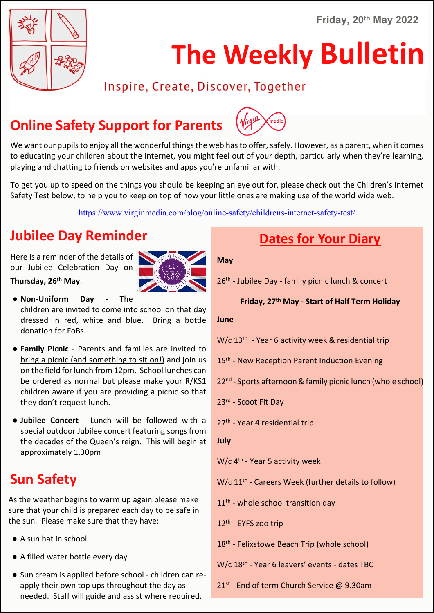**Friday, 20th May 2022**



# **The Weekly Bulletin**

### Inspire, Create, Discover, Together

# **Online Safety Support for Parents**



We want our pupils to enjoy all the wonderful things the web has to offer, safely. However, as a parent, when it comes to educating your children about the internet, you might feel out of your depth, particularly when they're learning, playing and chatting to friends on websites and apps you're unfamiliar with.

To get you up to speed on the things you should be keeping an eye out for, please check out the Children's Internet Safety Test below, to help you to keep on top of how your little ones are making use of the world wide web.

https://www.virginmedia.com/blog/online-safety/childrens-internet-safety-test/

# **Jubilee Day Reminder**

Here is a reminder of the details of our Jubilee Celebration Day on **Thursday, 26th May**.



- **Non-Uniform Day** The children are invited to come into school on that day dressed in red, white and blue. Bring a bottle donation for FoBs.
- **Family Picnic** Parents and families are invited to bring a picnic (and something to sit on!) and join us on the field for lunch from 12pm. School lunches can be ordered as normal but please make your R/KS1 children aware if you are providing a picnic so that they don't request lunch.
- **Jubilee Concert** Lunch will be followed with a special outdoor Jubilee concert featuring songs from the decades of the Queen's reign. This will begin at approximately 1.30pm

# **Sun Safety**

As the weather begins to warm up again please make sure that your child is prepared each day to be safe in the sun. Please make sure that they have:

- A sun hat in school
- A filled water bottle every day
- Sun cream is applied before school children can reapply their own top ups throughout the day as needed. Staff will guide and assist where required.

# **Dates for Your Diary**

#### **May**

26<sup>th</sup> - Jubilee Day - family picnic lunch & concert

#### **Friday, 27th May - Start of Half Term Holiday**

#### **June**

W/c 13th - Year 6 activity week & residential trip

- 15<sup>th</sup> New Reception Parent Induction Evening
- 22nd Sports afternoon & family picnic lunch (whole school)

23rd - Scoot Fit Day

27<sup>th</sup> - Year 4 residential trip

```
July
```
W/c 4<sup>th</sup> - Year 5 activity week

W/c 11<sup>th</sup> - Careers Week (further details to follow)

11<sup>th</sup> - whole school transition day

12th - EYFS zoo trip

- 18<sup>th</sup> Felixstowe Beach Trip (whole school)
- W/c 18<sup>th</sup> Year 6 leavers' events dates TBC
- 21<sup>st</sup> End of term Church Service @ 9.30am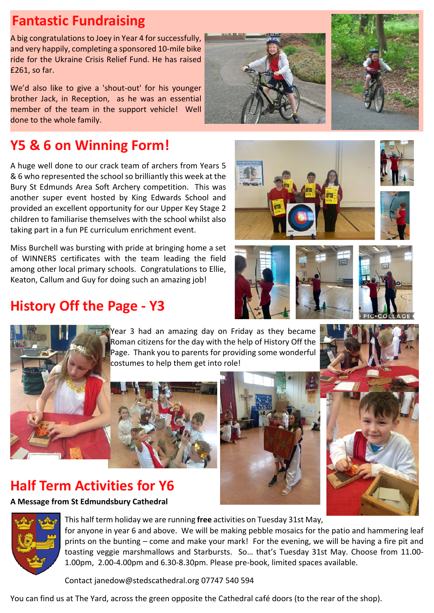# **Fantastic Fundraising**

A big congratulations to Joey in Year 4 for successfully, and very happily, completing a sponsored 10-mile bike ride for the Ukraine Crisis Relief Fund. He has raised £261, so far.

We'd also like to give a 'shout-out' for his younger brother Jack, in Reception, as he was an essential member of the team in the support vehicle! Well done to the whole family.

# **Y5 & 6 on Winning Form!**

A huge well done to our crack team of archers from Years 5 & 6 who represented the school so brilliantly this week at the Bury St Edmunds Area Soft Archery competition. This was another super event hosted by King Edwards School and provided an excellent opportunity for our Upper Key Stage 2 children to familiarise themselves with the school whilst also taking part in a fun PE curriculum enrichment event.

Miss Burchell was bursting with pride at bringing home a set of WINNERS certificates with the team leading the field among other local primary schools. Congratulations to Ellie, Keaton, Callum and Guy for doing such an amazing job!

## **History Off the Page - Y3**

Year 3 had an amazing day on Friday as they became Roman citizens for the day with the help of History Off the Page. Thank you to parents for providing some wonderful costumes to help them get into role!

### **Half Term Activities for Y6**

**A Message from St Edmundsbury Cathedral**



Contact janedow@stedscathedral.org 07747 540 594

You can find us at The Yard, across the green opposite the Cathedral café doors (to the rear of the shop).